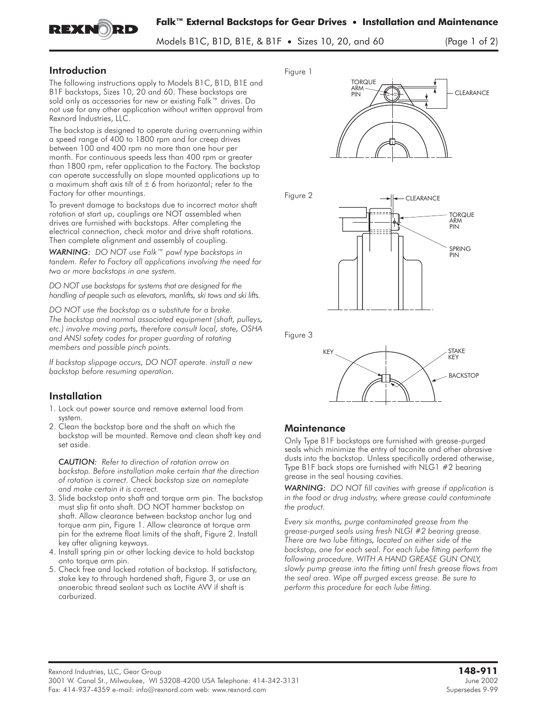

Models B1C, B1D, B1E, & B1F • Sizes 10, 20, and 60 (Page 1 of 2)

## Introduction

EXNORD

The following instructions apply to Models B1C, B1D, B1E and B1F backstops, Sizes 10, 20 and 60. These backstops are sold only as accessories for new or existing Falk™ drives. Do not use for any other application without written approval from Rexnord Industries, LLC.

The backstop is designed to operate during overrunning within a speed range of 400 to 1800 rpm and for creep drives between 100 and 400 rpm no more than one hour per month. For continuous speeds less than 400 rpm or greater than 1800 rpm, refer application to the Factory. The backstop can operate successfully on slope mounted applications up to a maximum shaft axis tilt of  $\pm$  6 from horizontal; refer to the Factory for other mountings.

To prevent damage to backstops due to incorrect motor shaft rotation at start up, couplings are NOT assembled when drives are furnished with backstops. After completing the electrical connection, check motor and drive shaft rotations. Then complete alignment and assembly of coupling.

*WARNING: DO NOT use Falk™ pawl type backstops in tandem. Refer to Factory all applications involving the need for two or more backstops in one system.*

*DO NOT use backstops for systems that are designed for the handling of people such as elevators, manlifts, ski tows and ski lifts.*

*DO NOT use the backstop as a substitute for a brake. The backstop and normal associated equipment (shaft, pulleys, etc.) involve moving parts, therefore consult local, state, OSHA and ANSI safety codes for proper guarding of rotating members and possible pinch points.*

*If backstop slippage occurs, DO NOT operate. install a new backstop before resuming operation.*

### **Installation**

- 1. Lock out power source and remove external load from system.
- 2. Clean the backstop bore and the shaft on which the backstop will be mounted. Remove and clean shaft key and set aside.

*CAUTION: Refer to direction of rotation arrow on backstop. Before installation make certain that the direction of rotation is correct. Check backstop size on nameplate and make certain it is correct.*

- 3. Slide backstop onto shaft and torque arm pin. The backstop must slip fit onto shaft. DO NOT hammer backstop on shaft. Allow clearance between backstop anchor lug and torque arm pin, Figure 1. Allow clearance at torque arm pin for the extreme float limits of the shaft, Figure 2. Install key after aligning keyways.
- 4. Install spring pin or other locking device to hold backstop onto torque arm pin.
- 5. Check free and locked rotation of backstop. If satisfactory, stake key to through hardened shaft, Figure 3, or use an anaerobic thread sealant such as Loctite AVV if shaft is carburized.

**Figure 1**





**Figure 3**



# **Maintenance**

Only Type B1F backstops are furnished with grease-purged seals which minimize the entry of taconite and other abrasive dusts into the backstop. Unless specifically ordered otherwise, Type B1F back stops are furnished with NLG1 #2 bearing grease in the seal housing cavities.

*WARNING: DO NOT fill cavities with grease if application is in the food or drug industry, where grease could contaminate the product.*

*Every six months, purge contaminated grease from the grease-purged seals using fresh NLGI #2 bearing grease. There are two lube fittings, located on either side of the backstop, one for each seal. For each lube fitting perform the following procedure. WITH A HAND GREASE GUN ONLY, slowly pump grease into the fitting until fresh grease flows from the seal area. Wipe off purged excess grease. Be sure to perform this procedure for each lube fitting.*